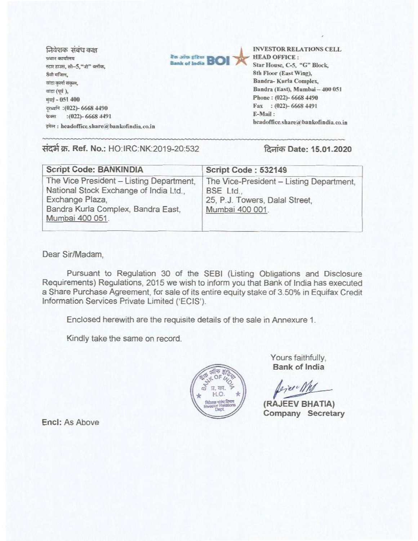tation of the set of the set of the set of the set of the set of the set of the set of the set of the set of the set of the set of the set of the set of the set of the set of the set of the set of the set of the set of the *NIVI* कार्यालय स्टार हाउस, सी-5,"जी" व्लॉक, 8वी मजिल, aigi करना संकल, यांद्रा (पूर्व), मंबई - 051 400 दरव्यनि : (022)- 6668 4490 फेक्स : (022)- 6668 4491 इमेल: headoffice.share@bankofindia.co.in



Star House, C-5, "G" Block, 8th Floor (East Wing), Bandra- Kurla Complex, Bandra (East), Mumbai - 400 051 Phone: (022)- 6668 4490 Fax : (022)- 6668 4491 E-Mail : headoffice.share@bankofindia.co.in

## संदर्भ क्र. Ref. No.: HO: IRC: NK: 2019-20:532 दिनांक Date: 15.01.2020

| <b>Script Code: BANKINDIA</b>                                                                                                                                  | Script Code: 532149                                                                                        |  |  |
|----------------------------------------------------------------------------------------------------------------------------------------------------------------|------------------------------------------------------------------------------------------------------------|--|--|
| The Vice President - Listing Department,<br>National Stock Exchange of India Ltd.,<br>Exchange Plaza,<br>Bandra Kurla Complex, Bandra East,<br>Mumbai 400 051. | The Vice-President - Listing Department,<br>BSE Ltd.,<br>25, P.J. Towers, Dalal Street,<br>Mumbai 400 001. |  |  |

Dear Sir/Madam,

Pursuant to Regulation 30 of the SEBI (Listing Obligations and Disclosure Requirements) Regulations, 2015 we wish to inform you that Bank of India has executed a Share Purchase Agreement, for sale of its entire equity stake of 3.50% in Equifax Credit Information Services Private Limited ('ECIS').

Enclosed herewith are the requisite details of the sale in Annexure 1.

Kindly take the same on record.



Yours faithfully, **Bank of India** 

**(RAJEEV BHATIA) Company** Secretary

**Encl:** As Above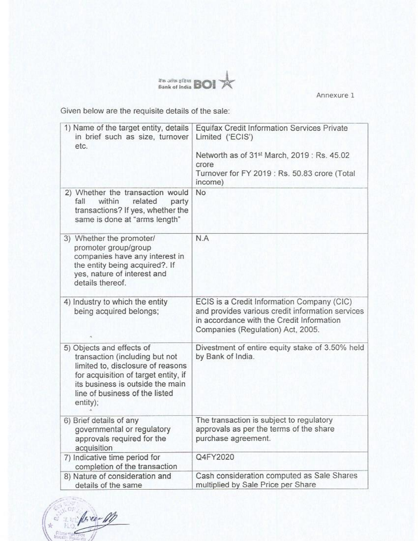.untr.<br>Eank of India **BOI** 

Annexure 1

Given below are the requisite details of the sale:

| 1) Name of the target entity, details<br>in brief such as size, turnover<br>etc.                                                                                                                                           | Equifax Credit Information Services Private<br>Limited ('ECIS')                                                                                                                  |  |  |
|----------------------------------------------------------------------------------------------------------------------------------------------------------------------------------------------------------------------------|----------------------------------------------------------------------------------------------------------------------------------------------------------------------------------|--|--|
|                                                                                                                                                                                                                            | Networth as of 31 <sup>st</sup> March, 2019 : Rs. 45.02<br>crore<br>Turnover for FY 2019 : Rs. 50.83 crore (Total<br>income)                                                     |  |  |
| 2) Whether the transaction would<br>related<br>fall<br>within<br>party<br>transactions? If yes, whether the<br>same is done at "arms length"                                                                               | No                                                                                                                                                                               |  |  |
| 3) Whether the promoter/<br>promoter group/group<br>companies have any interest in<br>the entity being acquired?. If<br>yes, nature of interest and<br>details thereof.                                                    | N.A                                                                                                                                                                              |  |  |
| 4) Industry to which the entity<br>being acquired belongs;                                                                                                                                                                 | ECIS is a Credit Information Company (CIC)<br>and provides various credit information services<br>in accordance with the Credit Information<br>Companies (Regulation) Act, 2005. |  |  |
| 5) Objects and effects of<br>transaction (including but not<br>limited to, disclosure of reasons<br>for acquisition of target entity, if<br>its business is outside the main<br>line of business of the listed<br>entity); | Divestment of entire equity stake of 3.50% held<br>by Bank of India.                                                                                                             |  |  |
| 6) Brief details of any<br>governmental or regulatory<br>approvals required for the<br>acquisition                                                                                                                         | The transaction is subject to regulatory<br>approvals as per the terms of the share<br>purchase agreement.                                                                       |  |  |
| 7) Indicative time period for<br>completion of the transaction                                                                                                                                                             | Q4FY2020                                                                                                                                                                         |  |  |
| 8) Nature of consideration and<br>details of the same                                                                                                                                                                      | Cash consideration computed as Sale Shares<br>multiplied by Sale Price per Share                                                                                                 |  |  |

force M